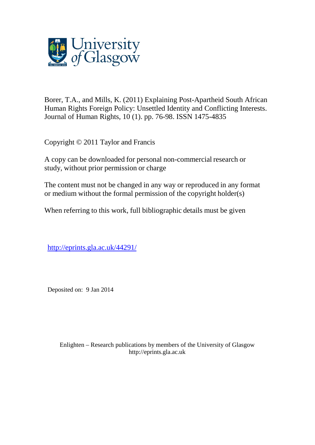

Borer, T.A., and Mills, K. (2011) Explaining Post-Apartheid South African Human Rights Foreign Policy: Unsettled Identity and Conflicting Interests. Journal of Human Rights, 10 (1). pp. 76-98. ISSN 1475-4835

Copyright © 2011 Taylor and Francis

A copy can be downloaded for personal non-commercial research or study, without prior permission or charge

The content must not be changed in any way or reproduced in any format or medium without the formal permission of the copyright holder(s)

When referring to this work, full bibliographic details must be given

<http://eprints.gla.ac.uk/44291/>

Deposited on: 9 Jan 2014

Enlighten – Research publications by members of the University of Glasgo[w](http://eprints.gla.ac.uk/) [http://eprints.gla.ac.uk](http://eprints.gla.ac.uk/)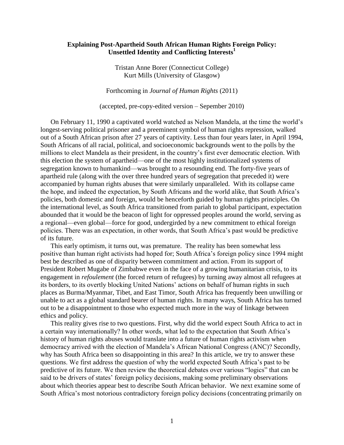## **Explaining Post-Apartheid South African Human Rights Foreign Policy: Unsettled Identity and Conflicting Interests<sup>1</sup>**

Tristan Anne Borer (Connecticut College) Kurt Mills (University of Glasgow)

Forthcoming in *Journal of Human Rights* (2011)

(accepted, pre-copy-edited version – Sepember 2010)

On February 11, 1990 a captivated world watched as Nelson Mandela, at the time the world's longest-serving political prisoner and a preeminent symbol of human rights repression, walked out of a South African prison after 27 years of captivity. Less than four years later, in April 1994, South Africans of all racial, political, and socioeconomic backgrounds went to the polls by the millions to elect Mandela as their president, in the country's first ever democratic election. With this election the system of apartheid—one of the most highly institutionalized systems of segregation known to humankind—was brought to a resounding end. The forty-five years of apartheid rule (along with the over three hundred years of segregation that preceded it) were accompanied by human rights abuses that were similarly unparalleled. With its collapse came the hope, and indeed the expectation, by South Africans and the world alike, that South Africa's policies, both domestic and foreign, would be henceforth guided by human rights principles. On the international level, as South Africa transitioned from pariah to global participant, expectation abounded that it would be the beacon of light for oppressed peoples around the world, serving as a regional—even global—force for good, undergirded by a new commitment to ethical foreign policies. There was an expectation, in other words, that South Africa's past would be predictive of its future.

This early optimism, it turns out, was premature. The reality has been somewhat less positive than human right activists had hoped for; South Africa's foreign policy since 1994 might best be described as one of disparity between commitment and action. From its support of President Robert Mugabe of Zimbabwe even in the face of a growing humanitarian crisis, to its engagement in *refoulement* (the forced return of refugees) by turning away almost all refugees at its borders, to its overtly blocking United Nations' actions on behalf of human rights in such places as Burma/Myanmar, Tibet, and East Timor, South Africa has frequently been unwilling or unable to act as a global standard bearer of human rights. In many ways, South Africa has turned out to be a disappointment to those who expected much more in the way of linkage between ethics and policy.

This reality gives rise to two questions. First, why did the world expect South Africa to act in a certain way internationally? In other words, what led to the expectation that South Africa's history of human rights abuses would translate into a future of human rights activism when democracy arrived with the election of Mandela's African National Congress (ANC)? Secondly, why has South Africa been so disappointing in this area? In this article, we try to answer these questions. We first address the question of why the world expected South Africa's past to be predictive of its future. We then review the theoretical debates over various "logics" that can be said to be drivers of states' foreign policy decisions, making some preliminary observations about which theories appear best to describe South African behavior. We next examine some of South Africa's most notorious contradictory foreign policy decisions (concentrating primarily on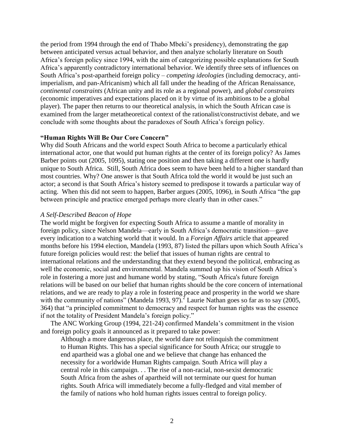the period from 1994 through the end of Thabo Mbeki's presidency), demonstrating the gap between anticipated versus actual behavior, and then analyze scholarly literature on South Africa's foreign policy since 1994, with the aim of categorizing possible explanations for South Africa's apparently contradictory international behavior. We identify three sets of influences on South Africa's post-apartheid foreign policy – *competing ideologies* (including democracy, antiimperialism, and pan-Africanism) which all fall under the heading of the African Renaissance, *continental constraints* (African unity and its role as a regional power), and *global constraints* (economic imperatives and expectations placed on it by virtue of its ambitions to be a global player). The paper then returns to our theoretical analysis, in which the South African case is examined from the larger metatheoretical context of the rationalist/constructivist debate, and we conclude with some thoughts about the paradoxes of South Africa's foreign policy.

## **"Human Rights Will Be Our Core Concern"**

Why did South Africans and the world expect South Africa to become a particularly ethical international actor, one that would put human rights at the center of its foreign policy? As James Barber points out (2005, 1095), stating one position and then taking a different one is hardly unique to South Africa. Still, South Africa does seem to have been held to a higher standard than most countries. Why? One answer is that South Africa told the world it would be just such an actor; a second is that South Africa's history seemed to predispose it towards a particular way of acting. When this did not seem to happen, Barber argues (2005, 1096), in South Africa "the gap between principle and practice emerged perhaps more clearly than in other cases."

## *A Self-Described Beacon of Hope*

The world might be forgiven for expecting South Africa to assume a mantle of morality in foreign policy, since Nelson Mandela—early in South Africa's democratic transition—gave every indication to a watching world that it would. In a *Foreign Affairs* article that appeared months before his 1994 election, Mandela (1993, 87) listed the pillars upon which South Africa's future foreign policies would rest: the belief that issues of human rights are central to international relations and the understanding that they extend beyond the political, embracing as well the economic, social and environmental. Mandela summed up his vision of South Africa's role in fostering a more just and humane world by stating, "South Africa's future foreign relations will be based on our belief that human rights should be the core concern of international relations, and we are ready to play a role in fostering peace and prosperity in the world we share with the community of nations" (Mandela 1993, 97).<sup>2</sup> Laurie Nathan goes so far as to say (2005, 364) that "a principled commitment to democracy and respect for human rights was the essence if not the totality of President Mandela's foreign policy."

The ANC Working Group (1994, 221-24) confirmed Mandela's commitment in the vision and foreign policy goals it announced as it prepared to take power:

Although a more dangerous place, the world dare not relinquish the commitment to Human Rights. This has a special significance for South Africa; our struggle to end apartheid was a global one and we believe that change has enhanced the necessity for a worldwide Human Rights campaign. South Africa will play a central role in this campaign. . . The rise of a non-racial, non-sexist democratic South Africa from the ashes of apartheid will not terminate our quest for human rights. South Africa will immediately become a fully-fledged and vital member of the family of nations who hold human rights issues central to foreign policy.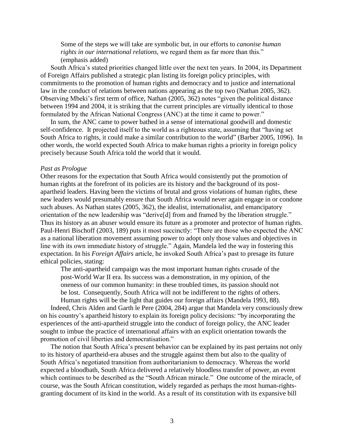Some of the steps we will take are symbolic but, in our efforts to *canonise human rights in our international relations,* we regard them as far more than this." (emphasis added)

South Africa's stated priorities changed little over the next ten years. In 2004, its Department of Foreign Affairs published a strategic plan listing its foreign policy principles, with commitments to the promotion of human rights and democracy and to justice and international law in the conduct of relations between nations appearing as the top two (Nathan 2005, 362). Observing Mbeki's first term of office, Nathan (2005, 362) notes "given the political distance between 1994 and 2004, it is striking that the current principles are virtually identical to those formulated by the African National Congress (ANC) at the time it came to power."

In sum, the ANC came to power bathed in a sense of international goodwill and domestic self-confidence. It projected itself to the world as a righteous state, assuming that "having set South Africa to rights, it could make a similar contribution to the world" (Barber 2005, 1096). In other words, the world expected South Africa to make human rights a priority in foreign policy precisely because South Africa told the world that it would.

#### *Past as Prologue*

Other reasons for the expectation that South Africa would consistently put the promotion of human rights at the forefront of its policies are its history and the background of its postapartheid leaders. Having been the victims of brutal and gross violations of human rights, these new leaders would presumably ensure that South Africa would never again engage in or condone such abuses. As Nathan states (2005, 362), the idealist, internationalist, and emancipatory orientation of the new leadership was "derive[d] from and framed by the liberation struggle." Thus its history as an abuser would ensure its future as a promoter and protector of human rights. Paul-Henri Bischoff (2003, 189) puts it most succinctly: "There are those who expected the ANC as a national liberation movement assuming power to adopt only those values and objectives in line with its own immediate history of struggle." Again, Mandela led the way in fostering this expectation. In his *Foreign Affairs* article, he invoked South Africa's past to presage its future ethical policies, stating:

The anti-apartheid campaign was the most important human rights crusade of the post-World War II era. Its success was a demonstration, in my opinion, of the oneness of our common humanity: in these troubled times, its passion should not be lost. Consequently, South Africa will not be indifferent to the rights of others. Human rights will be the light that guides our foreign affairs (Mandela 1993, 88).

Indeed, Chris Alden and Garth le Pere (2004, 284) argue that Mandela very consciously drew on his country's apartheid history to explain its foreign policy decisions: "by incorporating the experiences of the anti-apartheid struggle into the conduct of foreign policy, the ANC leader sought to imbue the practice of international affairs with an explicit orientation towards the promotion of civil liberties and democratisation."

The notion that South Africa's present behavior can be explained by its past pertains not only to its history of apartheid-era abuses and the struggle against them but also to the quality of South Africa's negotiated transition from authoritarianism to democracy. Whereas the world expected a bloodbath, South Africa delivered a relatively bloodless transfer of power, an event which continues to be described as the "South African miracle." One outcome of the miracle, of course, was the South African constitution, widely regarded as perhaps the most human-rightsgranting document of its kind in the world. As a result of its constitution with its expansive bill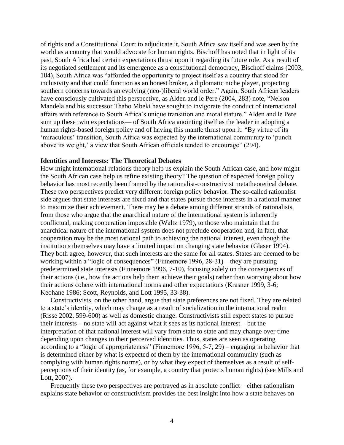of rights and a Constitutional Court to adjudicate it, South Africa saw itself and was seen by the world as a country that would advocate for human rights. Bischoff has noted that in light of its past, South Africa had certain expectations thrust upon it regarding its future role. As a result of its negotiated settlement and its emergence as a constitutional democracy, Bischoff claims (2003, 184), South Africa was "afforded the opportunity to project itself as a country that stood for inclusivity and that could function as an honest broker, a diplomatic niche player, projecting southern concerns towards an evolving (neo-)liberal world order." Again, South African leaders have consciously cultivated this perspective, as Alden and le Pere (2004, 283) note, "Nelson Mandela and his successor Thabo Mbeki have sought to invigorate the conduct of international affairs with reference to South Africa's unique transition and moral stature." Alden and le Pere sum up these twin expectations— of South Africa anointing itself as the leader in adopting a human rights-based foreign policy and of having this mantle thrust upon it: "By virtue of its 'miraculous' transition, South Africa was expected by the international community to 'punch above its weight,' a view that South African officials tended to encourage" (294).

### **Identities and Interests: The Theoretical Debates**

How might international relations theory help us explain the South African case, and how might the South African case help us refine existing theory? The question of expected foreign policy behavior has most recently been framed by the rationalist-constructivist metatheoretical debate. These two perspectives predict very different foreign policy behavior. The so-called rationalist side argues that state interests are fixed and that states pursue those interests in a rational manner to maximize their achievement. There may be a debate among different strands of rationalists, from those who argue that the anarchical nature of the international system is inherently conflictual, making cooperation impossible (Waltz 1979), to those who maintain that the anarchical nature of the international system does not preclude cooperation and, in fact, that cooperation may be the most rational path to achieving the national interest, even though the institutions themselves may have a limited impact on changing state behavior (Glaser 1994). They both agree, however, that such interests are the same for all states. States are deemed to be working within a "logic of consequences" (Finnemore 1996, 28-31) – they are pursuing predetermined state interests (Finnemore 1996, 7-10), focusing solely on the consequences of their actions (i.e., how the actions help them achieve their goals) rather than worrying about how their actions cohere with international norms and other expectations (Krasner 1999, 3-6; Keohane 1986; Scott, Reynolds, and Lott 1995, 33-38).

Constructivists, on the other hand, argue that state preferences are not fixed. They are related to a state's identity, which may change as a result of socialization in the international realm (Risse 2002, 599-600) as well as domestic change. Constructivists still expect states to pursue their interests – no state will act against what it sees as its national interest – but the interpretation of that national interest will vary from state to state and may change over time depending upon changes in their perceived identities. Thus, states are seen as operating according to a "logic of appropriateness" (Finnemore 1996, 5-7, 29) – engaging in behavior that is determined either by what is expected of them by the international community (such as complying with human rights norms), or by what they expect of themselves as a result of selfperceptions of their identity (as, for example, a country that protects human rights) (see Mills and Lott, 2007).

Frequently these two perspectives are portrayed as in absolute conflict – either rationalism explains state behavior or constructivism provides the best insight into how a state behaves on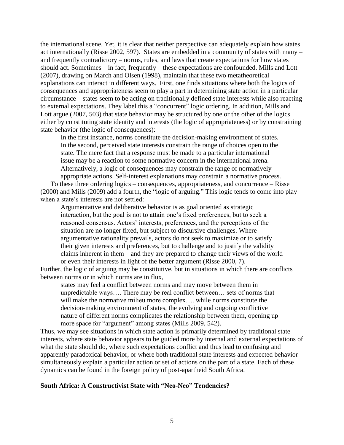the international scene. Yet, it is clear that neither perspective can adequately explain how states act internationally (Risse 2002, 597). States are embedded in a community of states with many – and frequently contradictory – norms, rules, and laws that create expectations for how states should act. Sometimes – in fact, frequently – these expectations are confounded. Mills and Lott (2007), drawing on March and Olsen (1998), maintain that these two metatheoretical explanations can interact in different ways. First, one finds situations where both the logics of consequences and appropriateness seem to play a part in determining state action in a particular circumstance – states seem to be acting on traditionally defined state interests while also reacting to external expectations. They label this a "concurrent" logic ordering. In addition, Mills and Lott argue (2007, 503) that state behavior may be structured by one or the other of the logics either by constituting state identity and interests (the logic of appropriateness) or by constraining state behavior (the logic of consequences):

In the first instance, norms constitute the decision-making environment of states. In the second, perceived state interests constrain the range of choices open to the state. The mere fact that a response must be made to a particular international issue may be a reaction to some normative concern in the international arena. Alternatively, a logic of consequences may constrain the range of normatively appropriate actions. Self-interest explanations may constrain a normative process.

To these three ordering logics – consequences, appropriateness, and concurrence – Risse (2000) and Mills (2009) add a fourth, the "logic of arguing." This logic tends to come into play when a state's interests are not settled:

Argumentative and deliberative behavior is as goal oriented as strategic interaction, but the goal is not to attain one's fixed preferences, but to seek a reasoned consensus. Actors' interests, preferences, and the perceptions of the situation are no longer fixed, but subject to discursive challenges. Where argumentative rationality prevails, actors do not seek to maximize or to satisfy their given interests and preferences, but to challenge and to justify the validity claims inherent in them – and they are prepared to change their views of the world or even their interests in light of the better argument (Risse 2000, 7).

Further, the logic of arguing may be constitutive, but in situations in which there are conflicts between norms or in which norms are in flux,

states may feel a conflict between norms and may move between them in unpredictable ways…. There may be real conflict between… sets of norms that will make the normative milieu more complex…. while norms constitute the decision-making environment of states, the evolving and ongoing conflictive nature of different norms complicates the relationship between them, opening up more space for "argument" among states (Mills 2009, 542).

Thus, we may see situations in which state action is primarily determined by traditional state interests, where state behavior appears to be guided more by internal and external expectations of what the state should do, where such expectations conflict and thus lead to confusing and apparently paradoxical behavior, or where both traditional state interests and expected behavior simultaneously explain a particular action or set of actions on the part of a state. Each of these dynamics can be found in the foreign policy of post-apartheid South Africa.

### **South Africa: A Constructivist State with "Neo-Neo" Tendencies?**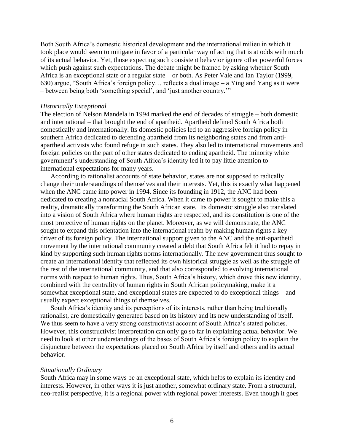Both South Africa's domestic historical development and the international milieu in which it took place would seem to mitigate in favor of a particular way of acting that is at odds with much of its actual behavior. Yet, those expecting such consistent behavior ignore other powerful forces which push against such expectations. The debate might be framed by asking whether South Africa is an exceptional state or a regular state – or both. As Peter Vale and Ian Taylor (1999, 630) argue, "South Africa's foreign policy… reflects a dual image – a Ying and Yang as it were – between being both 'something special', and 'just another country.'"

#### *Historically Exceptional*

The election of Nelson Mandela in 1994 marked the end of decades of struggle – both domestic and international – that brought the end of apartheid. Apartheid defined South Africa both domestically and internationally. Its domestic policies led to an aggressive foreign policy in southern Africa dedicated to defending apartheid from its neighboring states and from antiapartheid activists who found refuge in such states. They also led to international movements and foreign policies on the part of other states dedicated to ending apartheid. The minority white government's understanding of South Africa's identity led it to pay little attention to international expectations for many years.

According to rationalist accounts of state behavior, states are not supposed to radically change their understandings of themselves and their interests. Yet, this is exactly what happened when the ANC came into power in 1994. Since its founding in 1912, the ANC had been dedicated to creating a nonracial South Africa. When it came to power it sought to make this a reality, dramatically transforming the South African state. Its domestic struggle also translated into a vision of South Africa where human rights are respected, and its constitution is one of the most protective of human rights on the planet. Moreover, as we will demonstrate, the ANC sought to expand this orientation into the international realm by making human rights a key driver of its foreign policy. The international support given to the ANC and the anti-apartheid movement by the international community created a debt that South Africa felt it had to repay in kind by supporting such human rights norms internationally. The new government thus sought to create an international identity that reflected its own historical struggle as well as the struggle of the rest of the international community, and that also corresponded to evolving international norms with respect to human rights. Thus, South Africa's history, which drove this new identity, combined with the centrality of human rights in South African policymaking, make it a somewhat exceptional state, and exceptional states are expected to do exceptional things – and usually expect exceptional things of themselves.

South Africa's identity and its perceptions of its interests, rather than being traditionally rationalist, are domestically generated based on its history and its new understanding of itself. We thus seem to have a very strong constructivist account of South Africa's stated policies. However, this constructivist interpretation can only go so far in explaining actual behavior. We need to look at other understandings of the bases of South Africa's foreign policy to explain the disjuncture between the expectations placed on South Africa by itself and others and its actual behavior.

#### *Situationally Ordinary*

South Africa may in some ways be an exceptional state, which helps to explain its identity and interests. However, in other ways it is just another, somewhat ordinary state. From a structural, neo-realist perspective, it is a regional power with regional power interests. Even though it goes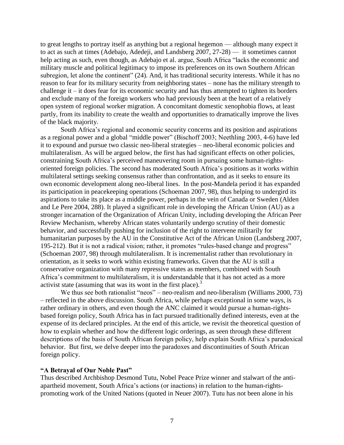to great lengths to portray itself as anything but a regional hegemon — although many expect it to act as such at times (Adebajo, Adedeji, and Landsberg 2007, 27-28) — it sometimes cannot help acting as such, even though, as Adebajo et al. argue, South Africa "lacks the economic and military muscle and political legitimacy to impose its preferences on its own Southern African subregion, let alone the continent" (24). And, it has traditional security interests. While it has no reason to fear for its military security from neighboring states – none has the military strength to challenge it – it does fear for its economic security and has thus attempted to tighten its borders and exclude many of the foreign workers who had previously been at the heart of a relatively open system of regional worker migration. A concomitant domestic xenophobia flows, at least partly, from its inability to create the wealth and opportunities to dramatically improve the lives of the black majority.

South Africa's regional and economic security concerns and its position and aspirations as a regional power and a global "middle power" (Bischoff 2003; Neethling 2003, 4-6) have led it to expound and pursue two classic neo-liberal strategies – neo-liberal economic policies and multilateralism. As will be argued below, the first has had significant effects on other policies, constraining South Africa's perceived maneuvering room in pursuing some human-rightsoriented foreign policies. The second has moderated South Africa's positions as it works within multilateral settings seeking consensus rather than confrontation, and as it seeks to ensure its own economic development along neo-liberal lines. In the post-Mandela period it has expanded its participation in peacekeeping operations (Schoeman 2007, 98), thus helping to undergird its aspirations to take its place as a middle power, perhaps in the vein of Canada or Sweden (Alden and Le Pere 2004, 288). It played a significant role in developing the African Union (AU) as a stronger incarnation of the Organization of African Unity, including developing the African Peer Review Mechanism, whereby African states voluntarily undergo scrutiny of their domestic behavior, and successfully pushing for inclusion of the right to intervene militarily for humanitarian purposes by the AU in the Constitutive Act of the African Union (Landsberg 2007, 195-212). But it is not a radical vision; rather, it promotes "rules-based change and progress" (Schoeman 2007, 98) through multilateralism. It is incrementalist rather than revolutionary in orientation, as it seeks to work within existing frameworks. Given that the AU is still a conservative organization with many repressive states as members, combined with South Africa's commitment to multilateralism, it is understandable that it has not acted as a more activist state (assuming that was its wont in the first place).<sup>3</sup>

We thus see both rationalist "neos" – neo-realism and neo-liberalism (Williams 2000, 73) – reflected in the above discussion. South Africa, while perhaps exceptional in some ways, is rather ordinary in others, and even though the ANC claimed it would pursue a human-rightsbased foreign policy, South Africa has in fact pursued traditionally defined interests, even at the expense of its declared principles. At the end of this article, we revisit the theoretical question of how to explain whether and how the different logic orderings, as seen through these different descriptions of the basis of South African foreign policy, help explain South Africa's paradoxical behavior. But first, we delve deeper into the paradoxes and discontinuities of South African foreign policy.

## **"A Betrayal of Our Noble Past"**

Thus described Archbishop Desmond Tutu, Nobel Peace Prize winner and stalwart of the antiapartheid movement, South Africa's actions (or inactions) in relation to the human-rightspromoting work of the United Nations (quoted in Neuer 2007). Tutu has not been alone in his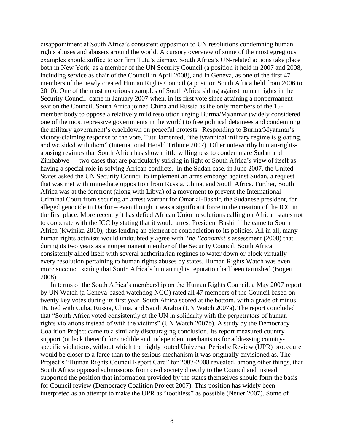disappointment at South Africa's consistent opposition to UN resolutions condemning human rights abuses and abusers around the world. A cursory overview of some of the most egregious examples should suffice to confirm Tutu's dismay. South Africa's UN-related actions take place both in New York, as a member of the UN Security Council (a position it held in 2007 and 2008, including service as chair of the Council in April 2008), and in Geneva, as one of the first 47 members of the newly created Human Rights Council (a position South Africa held from 2006 to 2010). One of the most notorious examples of South Africa siding against human rights in the Security Council came in January 2007 when, in its first vote since attaining a nonpermanent seat on the Council, South Africa joined China and Russia as the only members of the 15 member body to oppose a relatively mild resolution urging Burma/Myanmar (widely considered one of the most repressive governments in the world) to free political detainees and condemning the military government's crackdown on peaceful protests. Responding to Burma/Myanmar's victory-claiming response to the vote, Tutu lamented, "the tyrannical military regime is gloating, and we sided with them" (International Herald Tribune 2007). Other noteworthy human-rightsabusing regimes that South Africa has shown little willingness to condemn are Sudan and Zimbabwe — two cases that are particularly striking in light of South Africa's view of itself as having a special role in solving African conflicts. In the Sudan case, in June 2007, the United States asked the UN Security Council to implement an arms embargo against Sudan, a request that was met with immediate opposition from Russia, China, and South Africa. Further, South Africa was at the forefront (along with Libya) of a movement to prevent the International Criminal Court from securing an arrest warrant for Omar al-Bashir, the Sudanese president, for alleged genocide in Darfur – even though it was a significant force in the creation of the ICC in the first place. More recently it has defied African Union resolutions calling on African states not to cooperate with the ICC by stating that it would arrest President Bashir if he came to South Africa (Kwinika 2010), thus lending an element of contradiction to its policies. All in all, many human rights activists would undoubtedly agree with *The Economist*'s assessment (2008) that during its two years as a nonpermanent member of the Security Council, South Africa consistently allied itself with several authoritarian regimes to water down or block virtually every resolution pertaining to human rights abuses by states. Human Rights Watch was even more succinct, stating that South Africa's human rights reputation had been tarnished (Bogert 2008).

In terms of the South Africa's membership on the Human Rights Council, a May 2007 report by UN Watch (a Geneva-based watchdog NGO) rated all 47 members of the Council based on twenty key votes during its first year. South Africa scored at the bottom, with a grade of minus 16, tied with Cuba, Russia, China, and Saudi Arabia (UN Watch 2007a). The report concluded that "South Africa voted consistently at the UN in solidarity with the perpetrators of human rights violations instead of with the victims" (UN Watch 2007b). A study by the Democracy Coalition Project came to a similarly discouraging conclusion. Its report measured country support (or lack thereof) for credible and independent mechanisms for addressing countryspecific violations, without which the highly touted Universal Periodic Review (UPR) procedure would be closer to a farce than to the serious mechanism it was originally envisioned as. The Project's "Human Rights Council Report Card" for 2007-2008 revealed, among other things, that South Africa opposed submissions from civil society directly to the Council and instead supported the position that information provided by the states themselves should form the basis for Council review (Democracy Coalition Project 2007). This position has widely been interpreted as an attempt to make the UPR as "toothless" as possible (Neuer 2007). Some of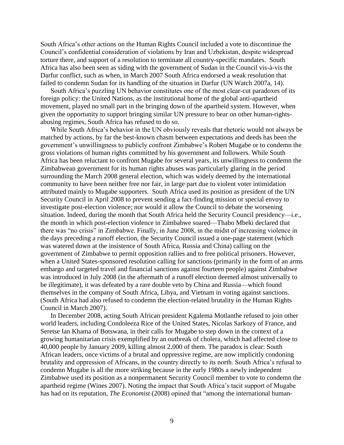South Africa's other actions on the Human Rights Council included a vote to discontinue the Council's confidential consideration of violations by Iran and Uzbekistan, despite widespread torture there, and support of a resolution to terminate all country-specific mandates. South Africa has also been seen as siding with the government of Sudan in the Council vis-à-vis the Darfur conflict, such as when, in March 2007 South Africa endorsed a weak resolution that failed to condemn Sudan for its handling of the situation in Darfur (UN Watch 2007a, 14).

South Africa's puzzling UN behavior constitutes one of the most clear-cut paradoxes of its foreign policy: the United Nations, as the institutional home of the global anti-apartheid movement, played no small part in the bringing down of the apartheid system. However, when given the opportunity to support bringing similar UN pressure to bear on other human-rightsabusing regimes, South Africa has refused to do so.

While South Africa's behavior in the UN obviously reveals that rhetoric would not always be matched by actions, by far the best-known chasm between expectations and deeds has been the government's unwillingness to publicly confront Zimbabwe's Robert Mugabe or to condemn the gross violations of human rights committed by his government and followers. While South Africa has been reluctant to confront Mugabe for several years, its unwillingness to condemn the Zimbabwean government for its human rights abuses was particularly glaring in the period surrounding the March 2008 general election, which was widely deemed by the international community to have been neither free nor fair, in large part due to violent voter intimidation attributed mainly to Mugabe supporters. South Africa used its position as president of the UN Security Council in April 2008 to prevent sending a fact-finding mission or special envoy to investigate post-election violence; nor would it allow the Council to debate the worsening situation. Indeed, during the month that South Africa held the Security Council presidency—i.e., the month in which post-election violence in Zimbabwe soared—Thabo Mbeki declared that there was "no crisis" in Zimbabwe. Finally, in June 2008, in the midst of increasing violence in the days preceding a runoff election, the Security Council issued a one-page statement (which was watered down at the insistence of South Africa, Russia and China) calling on the government of Zimbabwe to permit opposition rallies and to free political prisoners. However, when a United States-sponsored resolution calling for sanctions (primarily in the form of an arms embargo and targeted travel and financial sanctions against fourteen people) against Zimbabwe was introduced in July 2008 (in the aftermath of a runoff election deemed almost universally to be illegitimate), it was defeated by a rare double veto by China and Russia—which found themselves in the company of South Africa, Libya, and Vietnam in voting against sanctions. (South Africa had also refused to condemn the election-related brutality in the Human Rights Council in March 2007).

In December 2008, acting South African president Kgalema Motlanthe refused to join other world leaders, including Condoleeza Rice of the United States, Nicolas Sarkozy of France, and Seretse Ian Khama of Botswana, in their calls for Mugabe to step down in the context of a growing humanitarian crisis exemplified by an outbreak of cholera, which had affected close to 40,000 people by January 2009, killing almost 2,000 of them. The paradox is clear: South African leaders, once victims of a brutal and oppressive regime, are now implicitly condoning brutality and oppression of Africans, in the country directly to its north. South Africa's refusal to condemn Mugabe is all the more striking because in the early 1980s a newly independent Zimbabwe used its position as a nonpermanent Security Council member to vote to condemn the apartheid regime (Wines 2007). Noting the impact that South Africa's tacit support of Mugabe has had on its reputation, *The Economist* (2008) opined that "among the international human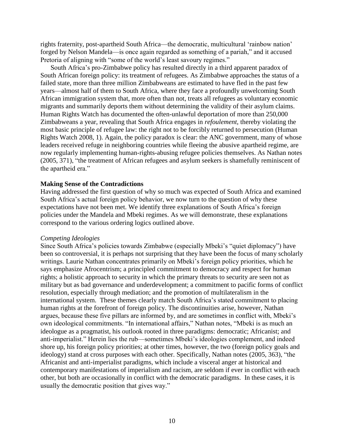rights fraternity, post-apartheid South Africa—the democratic, multicultural 'rainbow nation' forged by Nelson Mandela—is once again regarded as something of a pariah," and it accused Pretoria of aligning with "some of the world's least savoury regimes."

South Africa's pro-Zimbabwe policy has resulted directly in a third apparent paradox of South African foreign policy: its treatment of refugees. As Zimbabwe approaches the status of a failed state, more than three million Zimbabweans are estimated to have fled in the past few years—almost half of them to South Africa, where they face a profoundly unwelcoming South African immigration system that, more often than not, treats all refugees as voluntary economic migrants and summarily deports them without determining the validity of their asylum claims. Human Rights Watch has documented the often-unlawful deportation of more than 250,000 Zimbabweans a year, revealing that South Africa engages in *refoulement*, thereby violating the most basic principle of refugee law: the right not to be forcibly returned to persecution (Human Rights Watch 2008, 1). Again, the policy paradox is clear: the ANC government, many of whose leaders received refuge in neighboring countries while fleeing the abusive apartheid regime, are now regularly implementing human-rights-abusing refugee policies themselves. As Nathan notes (2005, 371), "the treatment of African refugees and asylum seekers is shamefully reminiscent of the apartheid era."

#### **Making Sense of the Contradictions**

Having addressed the first question of why so much was expected of South Africa and examined South Africa's actual foreign policy behavior, we now turn to the question of why these expectations have not been met. We identify three explanations of South Africa's foreign policies under the Mandela and Mbeki regimes. As we will demonstrate, these explanations correspond to the various ordering logics outlined above.

#### *Competing Ideologies*

Since South Africa's policies towards Zimbabwe (especially Mbeki's "quiet diplomacy") have been so controversial, it is perhaps not surprising that they have been the focus of many scholarly writings. Laurie Nathan concentrates primarily on Mbeki's foreign policy priorities, which he says emphasize Afrocentrism; a principled commitment to democracy and respect for human rights; a holistic approach to security in which the primary threats to security are seen not as military but as bad governance and underdevelopment; a commitment to pacific forms of conflict resolution, especially through mediation; and the promotion of multilateralism in the international system. These themes clearly match South Africa's stated commitment to placing human rights at the forefront of foreign policy. The discontinuities arise, however, Nathan argues, because these five pillars are informed by, and are sometimes in conflict with, Mbeki's own ideological commitments. "In international affairs," Nathan notes, "Mbeki is as much an ideologue as a pragmatist, his outlook rooted in three paradigms: democratic; Africanist; and anti-imperialist." Herein lies the rub—sometimes Mbeki's ideologies complement, and indeed shore up, his foreign policy priorities; at other times, however, the two (foreign policy goals and ideology) stand at cross purposes with each other. Specifically, Nathan notes (2005, 363), "the Africanist and anti-imperialist paradigms, which include a visceral anger at historical and contemporary manifestations of imperialism and racism, are seldom if ever in conflict with each other, but both are occasionally in conflict with the democratic paradigms. In these cases, it is usually the democratic position that gives way."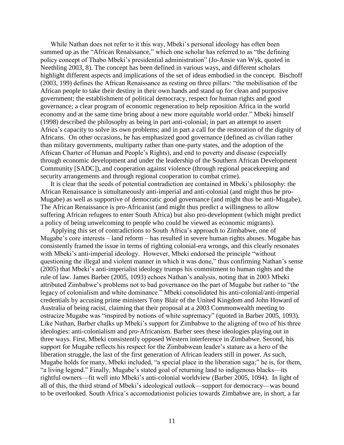While Nathan does not refer to it this way, Mbeki's personal ideology has often been summed up as the "African Renaissance," which one scholar has referred to as "the defining policy concept of Thabo Mbeki's presidential administration" (Jo-Ansie van Wyk, quoted in Neethling 2003, 8). The concept has been defined in various ways, and different scholars highlight different aspects and implications of the set of ideas embodied in the concept. Bischoff (2003, 199) defines the African Renaissance as resting on three pillars: "the mobilisation of the African people to take their destiny in their own hands and stand up for clean and purposive government; the establishment of political democracy, respect for human rights and good governance; a clear program of economic regeneration to help reposition Africa in the world economy and at the same time bring about a new more equitable world order." Mbeki himself (1998) described the philosophy as being in part anti-colonial; in part an attempt to assert Africa's capacity to solve its own problems; and in part a call for the restoration of the dignity of Africans. On other occasions, he has emphasized good governance (defined as civilian rather than military governments, multiparty rather than one-party states, and the adoption of the African Charter of Human and People's Rights), and end to poverty and disease (especially through economic development and under the leadership of the Southern African Development Community [SADC]), and cooperation against violence (through regional peacekeeping and security arrangements and through regional cooperation to combat crime).

It is clear that the seeds of potential contradiction are contained in Mbeki's philosophy: the African Renaissance is simultaneously anti-imperial and anti-colonial (and might thus be pro-Mugabe) as well as supportive of democratic good governance (and might thus be anti-Mugabe). The African Renaissance is pro-Africanist (and might thus predict a willingness to allow suffering African refugees to enter South Africa) but also pro-development (which might predict a policy of being unwelcoming to people who could be viewed as economic migrants).

Applying this set of contradictions to South Africa's approach to Zimbabwe, one of Mugabe's core interests – land reform – has resulted in severe human rights abuses. Mugabe has consistently framed the issue in terms of righting colonial-era wrongs, and this clearly resonates with Mbeki's anti-imperial ideology. However, Mbeki endorsed the principle "without" questioning the illegal and violent manner in which it was done," thus confirming Nathan's sense (2005) that Mbeki's anti-imperialist ideology trumps his commitment to human rights and the rule of law. James Barber (2005, 1093) echoes Nathan's analysis, noting that in 2003 Mbeki attributed Zimbabwe's problems not to bad governance on the part of Mugabe but rather to "the legacy of colonialism and white dominance." Mbeki consolidated his anti-colonial/anti-imperial credentials by accusing prime ministers Tony Blair of the United Kingdom and John Howard of Australia of being racist, claiming that their proposal at a 2003 Commonwealth meeting to ostracize Mugabe was "inspired by notions of white supremacy" (quoted in Barber 2005, 1093). Like Nathan, Barber chalks up Mbeki's support for Zimbabwe to the aligning of two of his three ideologies: anti-colonialism and pro-Africanism. Barber sees these ideologies playing out in three ways. First, Mbeki consistently opposed Western interference in Zimbabwe. Second, his support for Mugabe reflects his respect for the Zimbabwean leader's stature as a hero of the liberation struggle, the last of the first generation of African leaders still in power. As such, Mugabe holds for many, Mbeki included, "a special place in the liberation saga;" he is, for them, "a living legend." Finally, Mugabe's stated goal of returning land to indigenous blacks—its rightful owners—fit well into Mbeki's anti-colonial worldview (Barber 2005, 1094). In light of all of this, the third strand of Mbeki's ideological outlook—support for democracy—was bound to be overlooked. South Africa's accomodationist policies towards Zimbabwe are, in short, a far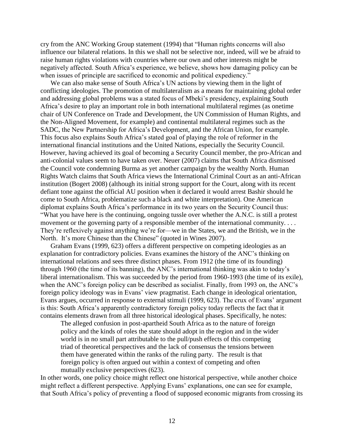cry from the ANC Working Group statement (1994) that "Human rights concerns will also influence our bilateral relations. In this we shall not be selective nor, indeed, will we be afraid to raise human rights violations with countries where our own and other interests might be negatively affected. South Africa's experience, we believe, shows how damaging policy can be when issues of principle are sacrificed to economic and political expediency."

We can also make sense of South Africa's UN actions by viewing them in the light of conflicting ideologies. The promotion of multilateralism as a means for maintaining global order and addressing global problems was a stated focus of Mbeki's presidency, explaining South Africa's desire to play an important role in both international multilateral regimes (as onetime chair of UN Conference on Trade and Development, the UN Commission of Human Rights, and the Non-Aligned Movement, for example) and continental multilateral regimes such as the SADC, the New Partnership for Africa's Development, and the African Union, for example. This focus also explains South Africa's stated goal of playing the role of reformer in the international financial institutions and the United Nations, especially the Security Council. However, having achieved its goal of becoming a Security Council member, the pro-African and anti-colonial values seem to have taken over. Neuer (2007) claims that South Africa dismissed the Council vote condemning Burma as yet another campaign by the wealthy North. Human Rights Watch claims that South Africa views the International Criminal Court as an anti-African institution (Bogert 2008) (although its initial strong support for the Court, along with its recent defiant tone against the official AU position when it declared it would arrest Bashir should he come to South Africa, problematize such a black and white interpretation). One American diplomat explains South Africa's performance in its two years on the Security Council thus: "What you have here is the continuing, ongoing tussle over whether the A.N.C. is still a protest movement or the governing party of a responsible member of the international community.... They're reflexively against anything we're for—we in the States, we and the British, we in the North. It's more Chinese than the Chinese" (quoted in Wines 2007).

Graham Evans (1999, 623) offers a different perspective on competing ideologies as an explanation for contradictory policies. Evans examines the history of the ANC's thinking on international relations and sees three distinct phases. From 1912 (the time of its founding) through 1960 (the time of its banning), the ANC's international thinking was akin to today's liberal internationalism. This was succeeded by the period from 1960-1993 (the time of its exile), when the ANC's foreign policy can be described as socialist. Finally, from 1993 on, the ANC's foreign policy ideology was in Evans' view pragmatist. Each change in ideological orientation, Evans argues, occurred in response to external stimuli (1999, 623). The crux of Evans' argument is this: South Africa's apparently contradictory foreign policy today reflects the fact that it contains elements drawn from all three historical ideological phases. Specifically, he notes:

The alleged confusion in post-apartheid South Africa as to the nature of foreign policy and the kinds of roles the state should adopt in the region and in the wider world is in no small part attributable to the pull/push effects of this competing triad of theoretical perspectives and the lack of consensus the tensions between them have generated within the ranks of the ruling party. The result is that foreign policy is often argued out within a context of competing and often mutually exclusive perspectives (623).

In other words, one policy choice might reflect one historical perspective, while another choice might reflect a different perspective. Applying Evans' explanations, one can see for example, that South Africa's policy of preventing a flood of supposed economic migrants from crossing its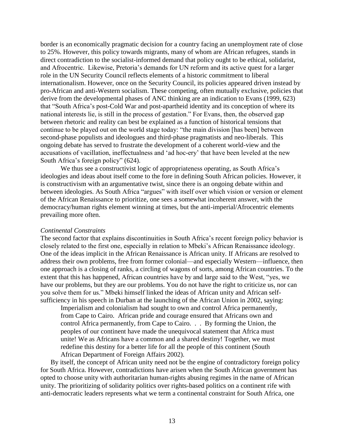border is an economically pragmatic decision for a country facing an unemployment rate of close to 25%. However, this policy towards migrants, many of whom are African refugees, stands in direct contradiction to the socialist-informed demand that policy ought to be ethical, solidarist, and Afrocentric. Likewise, Pretoria's demands for UN reform and its active quest for a larger role in the UN Security Council reflects elements of a historic commitment to liberal internationalism. However, once on the Security Council, its policies appeared driven instead by pro-African and anti-Western socialism. These competing, often mutually exclusive, policies that derive from the developmental phases of ANC thinking are an indication to Evans (1999, 623) that "South Africa's post-Cold War and post-apartheid identity and its conception of where its national interests lie, is still in the process of gestation." For Evans, then, the observed gap between rhetoric and reality can best be explained as a function of historical tensions that continue to be played out on the world stage today: "the main division [has been] between second-phase populists and ideologues and third-phase pragmatists and neo-liberals. This ongoing debate has served to frustrate the development of a coherent world-view and the accusations of vacillation, ineffectualness and 'ad hoc-ery' that have been leveled at the new South Africa's foreign policy" (624).

We thus see a constructivist logic of appropriateness operating, as South Africa's ideologies and ideas about itself come to the fore in defining South African policies. However, it is constructivism with an argumentative twist, since there is an ongoing debate within and between ideologies. As South Africa "argues" with itself over which vision or version or element of the African Renaissance to prioritize, one sees a somewhat incoherent answer, with the democracy/human rights element winning at times, but the anti-imperial/Afrocentric elements prevailing more often.

## *Continental Constraints*

The second factor that explains discontinuities in South Africa's recent foreign policy behavior is closely related to the first one, especially in relation to Mbeki's African Renaissance ideology. One of the ideas implicit in the African Renaissance is African unity. If Africans are resolved to address their own problems, free from former colonial—and especially Western—influence, then one approach is a closing of ranks, a circling of wagons of sorts, among African countries. To the extent that this has happened, African countries have by and large said to the West, "yes, we have our problems, but they are our problems. You do not have the right to criticize us, nor can you solve them for us." Mbeki himself linked the ideas of African unity and African selfsufficiency in his speech in Durban at the launching of the African Union in 2002, saying:

Imperialism and colonialism had sought to own and control Africa permanently, from Cape to Cairo. African pride and courage ensured that Africans own and control Africa permanently, from Cape to Cairo. . . By forming the Union, the peoples of our continent have made the unequivocal statement that Africa must unite! We as Africans have a common and a shared destiny! Together, we must redefine this destiny for a better life for all the people of this continent (South African Department of Foreign Affairs 2002).

By itself, the concept of African unity need not be the engine of contradictory foreign policy for South Africa. However, contradictions have arisen when the South African government has opted to choose unity with authoritarian human-rights abusing regimes in the name of African unity. The prioritizing of solidarity politics over rights-based politics on a continent rife with anti-democratic leaders represents what we term a continental constraint for South Africa, one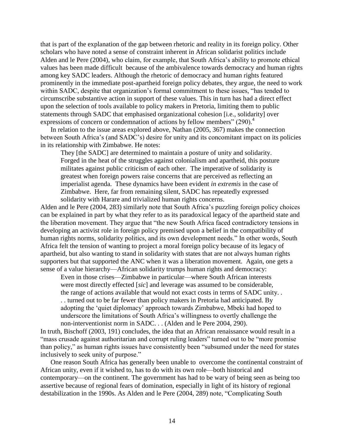that is part of the explanation of the gap between rhetoric and reality in its foreign policy. Other scholars who have noted a sense of constraint inherent in African solidarist politics include Alden and le Pere (2004), who claim, for example, that South Africa's ability to promote ethical values has been made difficult because of the ambivalence towards democracy and human rights among key SADC leaders. Although the rhetoric of democracy and human rights featured prominently in the immediate post-apartheid foreign policy debates, they argue, the need to work within SADC, despite that organization's formal commitment to these issues, "has tended to circumscribe substantive action in support of these values. This in turn has had a direct effect upon the selection of tools available to policy makers in Pretoria, limiting them to public statements through SADC that emphasised organizational cohesion [i.e., solidarity] over expressions of concern or condemnation of actions by fellow members" (290).<sup>4</sup>

In relation to the issue areas explored above, Nathan (2005, 367) makes the connection between South Africa's (and SADC's) desire for unity and its concomitant impact on its policies in its relationship with Zimbabwe. He notes:

They [the SADC] are determined to maintain a posture of unity and solidarity. Forged in the heat of the struggles against colonialism and apartheid, this posture militates against public criticism of each other. The imperative of solidarity is greatest when foreign powers raise concerns that are perceived as reflecting an imperialist agenda. These dynamics have been evident *in extremis* in the case of Zimbabwe. Here, far from remaining silent, SADC has repeatedly expressed solidarity with Harare and trivialized human rights concerns.

Alden and le Pere (2004, 283) similarly note that South Africa's puzzling foreign policy choices can be explained in part by what they refer to as its paradoxical legacy of the apartheid state and the liberation movement. They argue that "the new South Africa faced contradictory tensions in developing an activist role in foreign policy premised upon a belief in the compatibility of human rights norms, solidarity politics, and its own development needs." In other words, South Africa felt the tension of wanting to project a moral foreign policy because of its legacy of apartheid, but also wanting to stand in solidarity with states that are not always human rights supporters but that supported the ANC when it was a liberation movement. Again, one gets a sense of a value hierarchy—African solidarity trumps human rights and democracy:

Even in those crises—Zimbabwe in particular—where South African interests were most directly effected [*sic*] and leverage was assumed to be considerable, the range of actions available that would not exact costs in terms of SADC unity. . . . turned out to be far fewer than policy makers in Pretoria had anticipated. By adopting the 'quiet diplomacy' approach towards Zimbabwe, Mbeki had hoped to underscore the limitations of South Africa's willingness to overtly challenge the non-interventionist norm in SADC. . . (Alden and le Pere 2004, 290).

In truth, Bischoff (2003, 191) concludes, the idea that an African renaissance would result in a "mass crusade against authoritarian and corrupt ruling leaders" turned out to be "more promise than policy," as human rights issues have consistently been "subsumed under the need for states inclusively to seek unity of purpose."

One reason South Africa has generally been unable to overcome the continental constraint of African unity, even if it wished to, has to do with its own role—both historical and contemporary—on the continent. The government has had to be wary of being seen as being too assertive because of regional fears of domination, especially in light of its history of regional destabilization in the 1990s. As Alden and le Pere (2004, 289) note, "Complicating South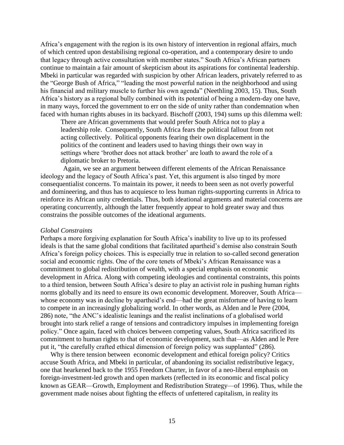Africa's engagement with the region is its own history of intervention in regional affairs, much of which centred upon destabilising regional co-operation, and a contemporary desire to undo that legacy through active consultation with member states." South Africa's African partners continue to maintain a fair amount of skepticism about its aspirations for continental leadership. Mbeki in particular was regarded with suspicion by other African leaders, privately referred to as the "George Bush of Africa," "leading the most powerful nation in the neighborhood and using his financial and military muscle to further his own agenda" (Neethling 2003, 15). Thus, South Africa's history as a regional bully combined with its potential of being a modern-day one have, in many ways, forced the government to err on the side of unity rather than condemnation when faced with human rights abuses in its backyard. Bischoff (2003, 194) sums up this dilemma well:

There are African governments that would prefer South Africa not to play a leadership role. Consequently, South Africa fears the political fallout from not acting collectively. Political opponents fearing their own displacement in the politics of the continent and leaders used to having things their own way in settings where 'brother does not attack brother' are loath to award the role of a diplomatic broker to Pretoria.

Again, we see an argument between different elements of the African Renaissance ideology and the legacy of South Africa's past. Yet, this argument is also tinged by more consequentialist concerns. To maintain its power, it needs to been seen as not overly powerful and domineering, and thus has to acquiesce to less human rights-supporting currents in Africa to reinforce its African unity credentials. Thus, both ideational arguments and material concerns are operating concurrently, although the latter frequently appear to hold greater sway and thus constrains the possible outcomes of the ideational arguments.

#### *Global Constraints*

Perhaps a more forgiving explanation for South Africa's inability to live up to its professed ideals is that the same global conditions that facilitated apartheid's demise also constrain South Africa's foreign policy choices. This is especially true in relation to so-called second generation social and economic rights. One of the core tenets of Mbeki's African Renaissance was a commitment to global redistribution of wealth, with a special emphasis on economic development in Africa. Along with competing ideologies and continental constraints, this points to a third tension, between South Africa's desire to play an activist role in pushing human rights norms globally and its need to ensure its own economic development. Moreover, South Africa whose economy was in decline by apartheid's end—had the great misfortune of having to learn to compete in an increasingly globalizing world. In other words, as Alden and le Pere (2004, 286) note, "the ANC's idealistic leanings and the realist inclinations of a globalised world brought into stark relief a range of tensions and contradictory impulses in implementing foreign policy." Once again, faced with choices between competing values, South Africa sacrificed its commitment to human rights to that of economic development, such that—as Alden and le Pere put it, "the carefully crafted ethical dimension of foreign policy was supplanted" (286).

Why is there tension between economic development and ethical foreign policy? Critics accuse South Africa, and Mbeki in particular, of abandoning its socialist redistributive legacy, one that hearkened back to the 1955 Freedom Charter, in favor of a neo-liberal emphasis on foreign-investment-led growth and open markets (reflected in its economic and fiscal policy known as GEAR—Growth, Employment and Redistribution Strategy—of 1996). Thus, while the government made noises about fighting the effects of unfettered capitalism, in reality its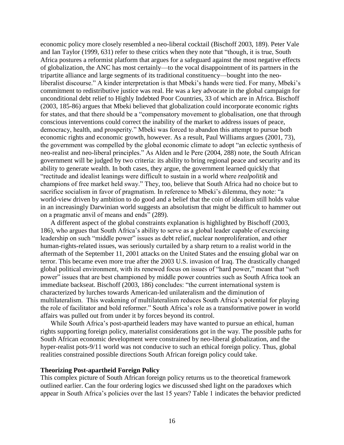economic policy more closely resembled a neo-liberal cocktail (Bischoff 2003, 189). Peter Vale and Ian Taylor (1999, 631) refer to these critics when they note that "though, it is true, South Africa postures a reformist platform that argues for a safeguard against the most negative effects of globalization, the ANC has most certainly—to the vocal disappointment of its partners in the tripartite alliance and large segments of its traditional constituency—bought into the neoliberalist discourse." A kinder interpretation is that Mbeki's hands were tied. For many, Mbeki's commitment to redistributive justice was real. He was a key advocate in the global campaign for unconditional debt relief to Highly Indebted Poor Countries, 33 of which are in Africa. Bischoff (2003, 185-86) argues that Mbeki believed that globalization could incorporate economic rights for states, and that there should be a "compensatory movement to globalisation, one that through conscious interventions could correct the inability of the market to address issues of peace, democracy, health, and prosperity." Mbeki was forced to abandon this attempt to pursue both economic rights and economic growth, however. As a result, Paul Williams argues (2001, 73), the government was compelled by the global economic climate to adopt "an eclectic synthesis of neo-realist and neo-liberal principles." As Alden and le Pere (2004, 288) note, the South African government will be judged by two criteria: its ability to bring regional peace and security and its ability to generate wealth. In both cases, they argue, the government learned quickly that "rectitude and idealist leanings were difficult to sustain in a world where *realpolitik* and champions of free market held sway." They, too, believe that South Africa had no choice but to sacrifice socialism in favor of pragmatism. In reference to Mbeki's dilemma, they note: "a world-view driven by ambition to do good and a belief that the coin of idealism still holds value in an increasingly Darwinian world suggests an absolutism that might be difficult to hammer out on a pragmatic anvil of means and ends" (289).

A different aspect of the global constraints explanation is highlighted by Bischoff (2003, 186), who argues that South Africa's ability to serve as a global leader capable of exercising leadership on such "middle power" issues as debt relief, nuclear nonproliferation, and other human-rights-related issues, was seriously curtailed by a sharp return to a realist world in the aftermath of the September 11, 2001 attacks on the United States and the ensuing global war on terror. This became even more true after the 2003 U.S. invasion of Iraq. The drastically changed global political environment, with its renewed focus on issues of "hard power," meant that "soft power" issues that are best championed by middle power countries such as South Africa took an immediate backseat. Bischoff (2003, 186) concludes: "the current international system is characterized by lurches towards American-led unilateralism and the diminution of multilateralism. This weakening of multilateralism reduces South Africa's potential for playing the role of facilitator and bold reformer." South Africa's role as a transformative power in world affairs was pulled out from under it by forces beyond its control.

While South Africa's post-apartheid leaders may have wanted to pursue an ethical, human rights supporting foreign policy, materialist considerations got in the way. The possible paths for South African economic development were constrained by neo-liberal globalization, and the hyper-realist pots-9/11 world was not conducive to such an ethical foreign policy. Thus, global realities constrained possible directions South African foreign policy could take.

### **Theorizing Post-apartheid Foreign Policy**

This complex picture of South African foreign policy returns us to the theoretical framework outlined earlier. Can the four ordering logics we discussed shed light on the paradoxes which appear in South Africa's policies over the last 15 years? Table 1 indicates the behavior predicted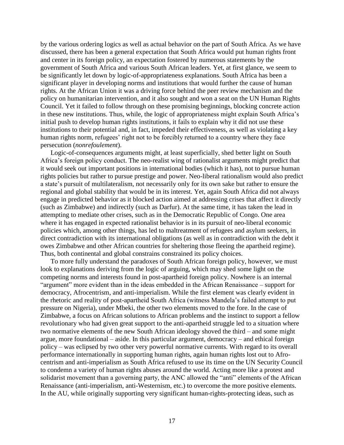by the various ordering logics as well as actual behavior on the part of South Africa. As we have discussed, there has been a general expectation that South Africa would put human rights front and center in its foreign policy, an expectation fostered by numerous statements by the government of South Africa and various South African leaders. Yet, at first glance, we seem to be significantly let down by logic-of-appropriateness explanations. South Africa has been a significant player in developing norms and institutions that would further the cause of human rights. At the African Union it was a driving force behind the peer review mechanism and the policy on humanitarian intervention, and it also sought and won a seat on the UN Human Rights Council. Yet it failed to follow through on these promising beginnings, blocking concrete action in these new institutions. Thus, while, the logic of appropriateness might explain South Africa's initial push to develop human rights institutions, it fails to explain why it did not use these institutions to their potential and, in fact, impeded their effectiveness, as well as violating a key human rights norm, refugees' right not to be forcibly returned to a country where they face persecution (*nonrefoulement*).

Logic-of-consequences arguments might, at least superficially, shed better light on South Africa's foreign policy conduct. The neo-realist wing of rationalist arguments might predict that it would seek out important positions in international bodies (which it has), not to pursue human rights policies but rather to pursue prestige and power. Neo-liberal rationalism would also predict a state's pursuit of multilateralism, not necessarily only for its own sake but rather to ensure the regional and global stability that would be in its interest. Yet, again South Africa did not always engage in predicted behavior as it blocked action aimed at addressing crises that affect it directly (such as Zimbabwe) and indirectly (such as Darfur). At the same time, it has taken the lead in attempting to mediate other crises, such as in the Democratic Republic of Congo. One area where it has engaged in expected rationalist behavior is in its pursuit of neo-liberal economic policies which, among other things, has led to maltreatment of refugees and asylum seekers, in direct contradiction with its international obligations (as well as in contradiction with the debt it owes Zimbabwe and other African countries for sheltering those fleeing the apartheid regime). Thus, both continental and global constrains constrained its policy choices.

To more fully understand the paradoxes of South African foreign policy, however, we must look to explanations deriving from the logic of arguing, which may shed some light on the competing norms and interests found in post-apartheid foreign policy. Nowhere is an internal "argument" more evident than in the ideas embedded in the African Renaissance – support for democracy, Afrocentrism, and anti-imperialism. While the first element was clearly evident in the rhetoric and reality of post-apartheid South Africa (witness Mandela's failed attempt to put pressure on Nigeria), under Mbeki, the other two elements moved to the fore. In the case of Zimbabwe, a focus on African solutions to African problems and the instinct to support a fellow revolutionary who had given great support to the anti-apartheid struggle led to a situation where two normative elements of the new South African ideology shoved the third – and some might argue, more foundational – aside. In this particular argument, democracy – and ethical foreign policy – was eclipsed by two other very powerful normative currents. With regard to its overall performance internationally in supporting human rights, again human rights lost out to Afrocentrism and anti-imperialism as South Africa refused to use its time on the UN Security Council to condemn a variety of human rights abuses around the world. Acting more like a protest and solidarist movement than a governing party, the ANC allowed the "anti" elements of the African Renaissance (anti-imperialism, anti-Westernism, etc.) to overcome the more positive elements. In the AU, while originally supporting very significant human-rights-protecting ideas, such as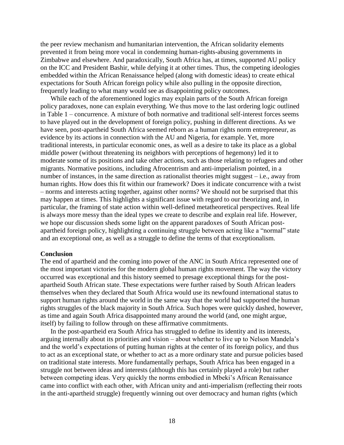the peer review mechanism and humanitarian intervention, the African solidarity elements prevented it from being more vocal in condemning human-rights-abusing governments in Zimbabwe and elsewhere. And paradoxically, South Africa has, at times, supported AU policy on the ICC and President Bashir, while defying it at other times. Thus, the competing ideologies embedded within the African Renaissance helped (along with domestic ideas) to create ethical expectations for South African foreign policy while also pulling in the opposite direction, frequently leading to what many would see as disappointing policy outcomes.

While each of the aforementioned logics may explain parts of the South African foreign policy paradoxes, none can explain everything. We thus move to the last ordering logic outlined in Table 1 – concurrence. A mixture of both normative and traditional self-interest forces seems to have played out in the development of foreign policy, pushing in different directions. As we have seen, post-apartheid South Africa seemed reborn as a human rights norm entrepreneur, as evidence by its actions in connection with the AU and Nigeria, for example. Yet, more traditional interests, in particular economic ones, as well as a desire to take its place as a global middle power (without threatening its neighbors with perceptions of hegemony) led it to moderate some of its positions and take other actions, such as those relating to refugees and other migrants. Normative positions, including Afrocentrism and anti-imperialism pointed, in a number of instances, in the same direction as rationalist theories might suggest – i.e., away from human rights. How does this fit within our framework? Does it indicate concurrence with a twist – norms and interests acting together, against other norms? We should not be surprised that this may happen at times. This highlights a significant issue with regard to our theorizing and, in particular, the framing of state action within well-defined metatheoretical perspectives. Real life is always more messy than the ideal types we create to describe and explain real life. However, we hope our discussion sheds some light on the apparent paradoxes of South African postapartheid foreign policy, highlighting a continuing struggle between acting like a "normal" state and an exceptional one, as well as a struggle to define the terms of that exceptionalism.

### **Conclusion**

The end of apartheid and the coming into power of the ANC in South Africa represented one of the most important victories for the modern global human rights movement. The way the victory occurred was exceptional and this history seemed to presage exceptional things for the postapartheid South African state. These expectations were further raised by South African leaders themselves when they declared that South Africa would use its newfound international status to support human rights around the world in the same way that the world had supported the human rights struggles of the black majority in South Africa. Such hopes were quickly dashed, however, as time and again South Africa disappointed many around the world (and, one might argue, itself) by failing to follow through on these affirmative commitments.

In the post-apartheid era South Africa has struggled to define its identity and its interests, arguing internally about its priorities and vision – about whether to live up to Nelson Mandela's and the world's expectations of putting human rights at the center of its foreign policy, and thus to act as an exceptional state, or whether to act as a more ordinary state and pursue policies based on traditional state interests. More fundamentally perhaps, South Africa has been engaged in a struggle not between ideas and interests (although this has certainly played a role) but rather between competing ideas. Very quickly the norms embodied in Mbeki's African Renaissance came into conflict with each other, with African unity and anti-imperialism (reflecting their roots in the anti-apartheid struggle) frequently winning out over democracy and human rights (which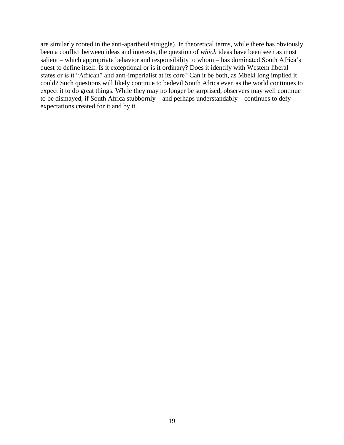are similarly rooted in the anti-apartheid struggle). In theoretical terms, while there has obviously been a conflict between ideas and interests, the question of *which* ideas have been seen as most salient – which appropriate behavior and responsibility to whom – has dominated South Africa's quest to define itself. Is it exceptional or is it ordinary? Does it identify with Western liberal states or is it "African" and anti-imperialist at its core? Can it be both, as Mbeki long implied it could? Such questions will likely continue to bedevil South Africa even as the world continues to expect it to do great things. While they may no longer be surprised, observers may well continue to be dismayed, if South Africa stubbornly – and perhaps understandably – continues to defy expectations created for it and by it.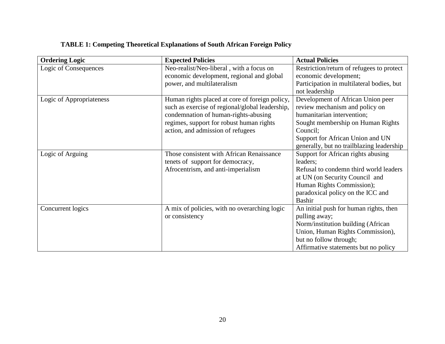# **TABLE 1: Competing Theoretical Explanations of South African Foreign Policy**

| <b>Ordering Logic</b>    | <b>Expected Policies</b>                        | <b>Actual Policies</b>                    |
|--------------------------|-------------------------------------------------|-------------------------------------------|
| Logic of Consequences    | Neo-realist/Neo-liberal, with a focus on        | Restriction/return of refugees to protect |
|                          | economic development, regional and global       | economic development;                     |
|                          | power, and multilateralism                      | Participation in multilateral bodies, but |
|                          |                                                 | not leadership                            |
| Logic of Appropriateness | Human rights placed at core of foreign policy,  | Development of African Union peer         |
|                          | such as exercise of regional/global leadership, | review mechanism and policy on            |
|                          | condemnation of human-rights-abusing            | humanitarian intervention;                |
|                          | regimes, support for robust human rights        | Sought membership on Human Rights         |
|                          | action, and admission of refugees               | Council;                                  |
|                          |                                                 | Support for African Union and UN          |
|                          |                                                 | generally, but no trailblazing leadership |
| Logic of Arguing         | Those consistent with African Renaissance       | Support for African rights abusing        |
|                          | tenets of support for democracy,                | leaders;                                  |
|                          | Afrocentrism, and anti-imperialism              | Refusal to condemn third world leaders    |
|                          |                                                 | at UN (on Security Council and            |
|                          |                                                 | Human Rights Commission);                 |
|                          |                                                 | paradoxical policy on the ICC and         |
|                          |                                                 | <b>Bashir</b>                             |
| Concurrent logics        | A mix of policies, with no overarching logic    | An initial push for human rights, then    |
|                          | or consistency                                  | pulling away;                             |
|                          |                                                 | Norm/institution building (African        |
|                          |                                                 | Union, Human Rights Commission),          |
|                          |                                                 | but no follow through;                    |
|                          |                                                 | Affirmative statements but no policy      |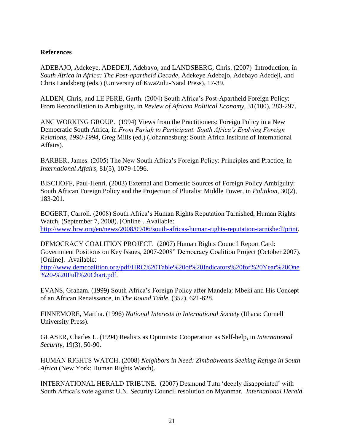## **References**

ADEBAJO, Adekeye, ADEDEJI, Adebayo, and LANDSBERG, Chris. (2007) Introduction, in *South Africa in Africa: The Post-apartheid Decade,* Adekeye Adebajo, Adebayo Adedeji, and Chris Landsberg (eds.) (University of KwaZulu-Natal Press), 17-39.

ALDEN, Chris, and LE PERE, Garth. (2004) South Africa's Post-Apartheid Foreign Policy: From Reconciliation to Ambiguity, in *Review of African Political Economy,* 31(100), 283-297.

ANC WORKING GROUP. (1994) Views from the Practitioners: Foreign Policy in a New Democratic South Africa, in *From Pariah to Participant: South Africa's Evolving Foreign Relations, 1990-1994*, Greg Mills (ed.) (Johannesburg: South Africa Institute of International Affairs).

BARBER, James. (2005) The New South Africa's Foreign Policy: Principles and Practice, in *International Affairs*, 81(5), 1079-1096.

BISCHOFF, Paul-Henri. (2003) External and Domestic Sources of Foreign Policy Ambiguity: South African Foreign Policy and the Projection of Pluralist Middle Power, in *Politikon*, 30(2), 183-201.

BOGERT, Carroll. (2008) South Africa's Human Rights Reputation Tarnished, Human Rights Watch, (September 7, 2008). [Online]. Available: [http://www.hrw.org/en/news/2008/09/06/south-africas-human-rights-reputation-tarnished?print.](http://www.hrw.org/en/news/2008/09/06/south-africas-human-rights-reputation-tarnished?print)

DEMOCRACY COALITION PROJECT. (2007) Human Rights Council Report Card: Government Positions on Key Issues, 2007-2008" Democracy Coalition Project (October 2007). [Online]. Available:

[http://www.demcoalition.org/pdf/HRC%20Table%20of%20Indicators%20for%20Year%20One](http://www.demcoalition.org/pdf/HRC%20Table%20of%20Indicators%20for%20Year%20One%20-%20Full%20Chart.pdf) [%20-%20Full%20Chart.pdf.](http://www.demcoalition.org/pdf/HRC%20Table%20of%20Indicators%20for%20Year%20One%20-%20Full%20Chart.pdf)

EVANS, Graham. (1999) South Africa's Foreign Policy after Mandela: Mbeki and His Concept of an African Renaissance, in *The Round Table*, (352), 621-628.

FINNEMORE, Martha. (1996) *National Interests in International Society* (Ithaca: Cornell University Press).

GLASER, Charles L. (1994) Realists as Optimists: Cooperation as Self-help, in *International Security*, 19(3), 50-90.

HUMAN RIGHTS WATCH. (2008) *Neighbors in Need: Zimbabweans Seeking Refuge in South Africa* (New York: Human Rights Watch).

INTERNATIONAL HERALD TRIBUNE. (2007) Desmond Tutu 'deeply disappointed' with South Africa's vote against U.N. Security Council resolution on Myanmar. *International Herald*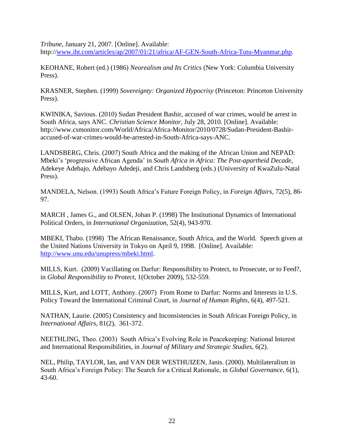*Tribune*, January 21, 2007. [Online]. Available: http:/[/www.iht.com/articles/ap/2007/01/21/africa/AF-GEN-South-Africa-Tutu-Myanmar.php.](http://www.iht.com/articles/ap/2007/01/21/africa/AF-GEN-South-Africa-Tutu-Myanmar.php)

KEOHANE, Robert (ed.) (1986) *Neorealism and Its Critics* (New York: Columbia University Press).

KRASNER, Stephen. (1999) *Sovereignty: Organized Hypocrisy* (Princeton: Princeton University Press).

KWINIKA, Savious. (2010) Sudan President Bashir, accused of war crimes, would be arrest in South Africa, says ANC. *Christian Science Monitor,* July 28, 2010. [Online]. Available: http://www.csmonitor.com/World/Africa/Africa-Monitor/2010/0728/Sudan-President-Bashiraccused-of-war-crimes-would-be-arrested-in-South-Africa-says-ANC.

LANDSBERG, Chris. (2007) South Africa and the making of the African Union and NEPAD: Mbeki's 'progressive African Agenda' in *South Africa in Africa: The Post-apartheid Decade,*  Adekeye Adebajo, Adebayo Adedeji, and Chris Landsberg (eds.) (University of KwaZulu-Natal Press).

MANDELA, Nelson. (1993) South Africa's Future Foreign Policy, in *Foreign Affairs*, 72(5), 86- 97.

MARCH , James G., and OLSEN, Johan P. (1998) The Institutional Dynamics of International Political Orders, in *International Organization*, 52(4), 943-970.

MBEKI, Thabo. (1998) The African Renaissance, South Africa, and the World. Speech given at the United Nations University in Tokyo on April 9, 1998. [Online]. Available: [http://www.unu.edu/unupress/mbeki.html.](http://www.unu.edu/unupress/mbeki.html)

MILLS, Kurt. (2009) Vacillating on Darfur: Responsibility to Protect, to Prosecute, or to Feed?, in *Global Responsibility to Protect*, 1(October 2009), 532-559.

MILLS, Kurt, and LOTT, Anthony. (2007) From Rome to Darfur: Norms and Interests in U.S. Policy Toward the International Criminal Court, in *Journal of Human Rights*, 6(4), 497-521.

NATHAN, Laurie. (2005) Consistency and Inconsistencies in South African Foreign Policy, in *International Affairs*, 81(2), 361-372.

NEETHLING, Theo. (2003) South Africa's Evolving Role in Peacekeeping: National Interest and International Responsibilities, in *Journal of Military and Strategic Studies*, 6(2).

NEL, Philip, TAYLOR, Ian, and VAN DER WESTHUIZEN, Janis. (2000). Multilateralism in South Africa's Foreign Policy: The Search for a Critical Rationale, in *Global Governance*, 6(1), 43-60.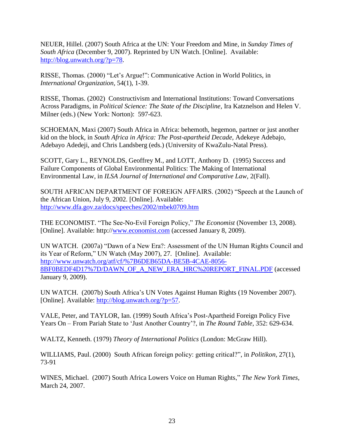NEUER, Hillel. (2007) South Africa at the UN: Your Freedom and Mine, in *Sunday Times of South Africa* (December 9, 2007). Reprinted by UN Watch. [Online]. Available: [http://blog.unwatch.org/?p=78.](http://blog.unwatch.org/?p=78)

RISSE, Thomas. (2000) "Let's Argue!": Communicative Action in World Politics, in *International Organization,* 54(1), 1-39.

RISSE, Thomas. (2002) Constructivism and International Institutions: Toward Conversations Across Paradigms, in *Political Science: The State of the Discipline*, Ira Katznelson and Helen V. Milner (eds.) (New York: Norton): 597-623.

SCHOEMAN, Maxi (2007) South Africa in Africa: behemoth, hegemon, partner or just another kid on the block, in *South Africa in Africa: The Post-apartheid Decade,* Adekeye Adebajo, Adebayo Adedeji, and Chris Landsberg (eds.) (University of KwaZulu-Natal Press).

SCOTT, Gary L., REYNOLDS, Geoffrey M., and LOTT, Anthony D. (1995) Success and Failure Components of Global Environmental Politics: The Making of International Environmental Law, in *ILSA Journal of International and Comparative Law*, 2(Fall).

SOUTH AFRICAN DEPARTMENT OF FOREIGN AFFAIRS. (2002) "Speech at the Launch of the African Union, July 9, 2002. [Online]. Available: <http://www.dfa.gov.za/docs/speeches/2002/mbek0709.htm>

THE ECONOMIST. "The See-No-Evil Foreign Policy," *The Economist* (November 13, 2008). [Online]. Available: http:/[/www.economist.com](http://www.economist.com/) (accessed January 8, 2009).

UN WATCH. (2007a) "Dawn of a New Era?: Assessment of the UN Human Rights Council and its Year of Reform," UN Watch (May 2007), 27. [Online]. Available: [http://www.unwatch.org/atf/cf/%7B6DEB65DA-BE5B-4CAE-8056-](http://www.unwatch.org/atf/cf/%7B6DEB65DA-BE5B-4CAE-8056-8BF0BEDF4D17%7D/DAWN_OF_A_NEW_ERA_HRC%20REPORT_FINAL.PDF) [8BF0BEDF4D17%7D/DAWN\\_OF\\_A\\_NEW\\_ERA\\_HRC%20REPORT\\_FINAL.PDF](http://www.unwatch.org/atf/cf/%7B6DEB65DA-BE5B-4CAE-8056-8BF0BEDF4D17%7D/DAWN_OF_A_NEW_ERA_HRC%20REPORT_FINAL.PDF) (accessed January 9, 2009).

UN WATCH. (2007b) South Africa's UN Votes Against Human Rights (19 November 2007). [Online]. Available: [http://blog.unwatch.org/?p=57.](http://blog.unwatch.org/?p=57)

VALE, Peter, and TAYLOR, Ian. (1999) South Africa's Post-Apartheid Foreign Policy Five Years On – From Pariah State to 'Just Another Country'?, in *The Round Table,* 352: 629-634.

WALTZ, Kenneth. (1979) *Theory of International Politics* (London: McGraw Hill).

WILLIAMS, Paul. (2000) South African foreign policy: getting critical?", in *Politikon,* 27(1), 73-91

WINES, Michael. (2007) South Africa Lowers Voice on Human Rights," *The New York Times*, March 24, 2007.